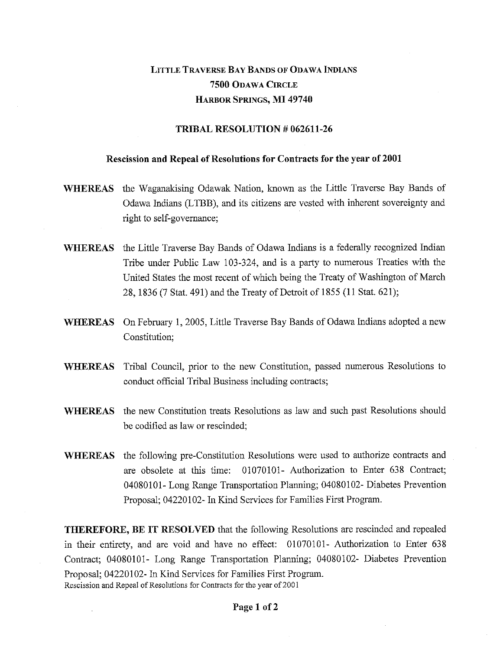# LITTLE TRAVERSE BAY BANDS OF ODAWA INDIANS 7500 ODAWA CIRCLE HARBOR SPRINGS, MI 49740

## TRIBAL RESOLUTION *#* 062611-26

#### Rescission and Repeal of Resolutions for Contracts for the year of 2001

- WHEREAS the Waganakising Odawak Nation, known as the Little Traverse Bay Bands of Odawa Indians (LTBB), and its citizens are vested with inherent sovereignty and right to self-governance;
- WHEREAS the Little Traverse Bay Bands of Odawa Indians is a federally recognized Indian Tribe under Public Law 103-324, and is a party to numerous Treaties with the United States the most recent of which being the Treaty of Washington of March 28, 1836 (7 Stat. 491) and the Treaty of Detroit of 1855 (11 Stat. 621);
- WHEREAS On February 1, 2005, Little Traverse Bay Bands of Odawa Indians adopted a new Constitution;
- WHEREAS Tribal Council, prior to the new Constitution, passed numerous Resolutions to conduct official Tribal Business including contracts;
- WHEREAS the new Constitution treats Resolutions as law and such past Resolutions should be codified as law or rescinded;
- WHEREAS the following pre-Constitution Resolutions were used to authorize contracts and are obsolete at this time: 01070101- Authorization to Enter 638 Contract; 04080101- Long Range Transportation Planning; 04080102- Diabetes Prevention Proposal; 04220102- In Kind Services for Families First Program.

THEREFORE, BE IT RESOLVED that the following Resolutions are rescinded and repealed in their entirety, and are void and have no effect: 01070101- Authorization to Enter 638 Contract; 04080101- Long Range Transportation Planning; 04080102- Diabetes Prevention Proposal; 04220102- In Kind Services for Families First Program. Rescission and Repeal of Resolutions for Contracts for the year of 2001

#### Page 1 of 2